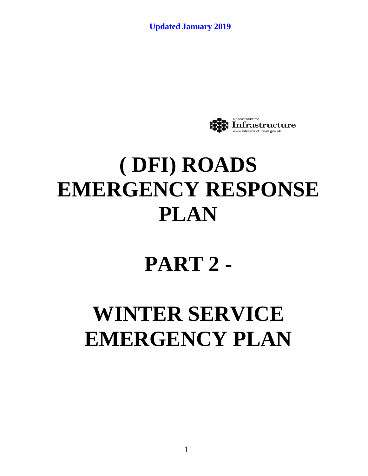

## **( DFI) ROADS EMERGENCY RESPONSE PLAN**

## **PART 2 -**

# **WINTER SERVICE EMERGENCY PLAN**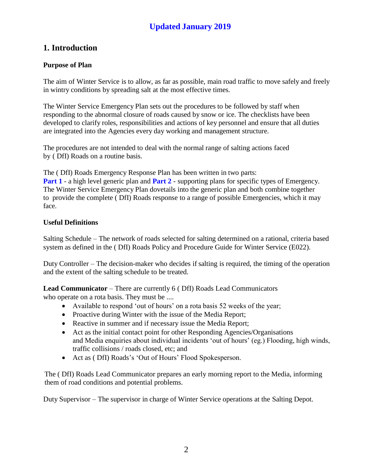## **1. Introduction**

#### **Purpose of Plan**

The aim of Winter Service is to allow, as far as possible, main road traffic to move safely and freely in wintry conditions by spreading salt at the most effective times.

The Winter Service Emergency Plan sets out the procedures to be followed by staff when responding to the abnormal closure of roads caused by snow or ice. The checklists have been developed to clarify roles, responsibilities and actions of key personnel and ensure that all duties are integrated into the Agencies every day working and management structure.

The procedures are not intended to deal with the normal range of salting actions faced by ( DfI) Roads on a routine basis.

The ( DfI) Roads Emergency Response Plan has been written in two parts: **Part 1** - a high level generic plan and **Part 2** - supporting plans for specific types of Emergency. The Winter Service Emergency Plan dovetails into the generic plan and both combine together to provide the complete ( DfI) Roads response to a range of possible Emergencies, which it may face.

#### **Useful Definitions**

Salting Schedule – The network of roads selected for salting determined on a rational, criteria based system as defined in the ( DfI) Roads Policy and Procedure Guide for Winter Service (E022).

Duty Controller – The decision-maker who decides if salting is required, the timing of the operation and the extent of the salting schedule to be treated.

**Lead Communicator** – There are currently 6 ( DfI) Roads Lead Communicators who operate on a rota basis. They must be ....

- Available to respond 'out of hours' on a rota basis 52 weeks of the year;
- Proactive during Winter with the issue of the Media Report;
- Reactive in summer and if necessary issue the Media Report;
- Act as the initial contact point for other Responding Agencies/Organisations and Media enquiries about individual incidents 'out of hours' (eg.) Flooding, high winds, traffic collisions / roads closed, etc; and
- Act as ( DfI) Roads's 'Out of Hours' Flood Spokesperson.

The ( DfI) Roads Lead Communicator prepares an early morning report to the Media, informing them of road conditions and potential problems.

Duty Supervisor – The supervisor in charge of Winter Service operations at the Salting Depot.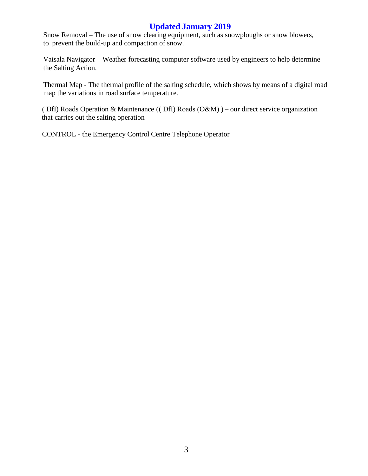Snow Removal – The use of snow clearing equipment, such as snowploughs or snow blowers, to prevent the build-up and compaction of snow.

Vaisala Navigator – Weather forecasting computer software used by engineers to help determine the Salting Action.

Thermal Map - The thermal profile of the salting schedule, which shows by means of a digital road map the variations in road surface temperature.

( DfI) Roads Operation & Maintenance (( DfI) Roads (O&M) ) – our direct service organization that carries out the salting operation

CONTROL - the Emergency Control Centre Telephone Operator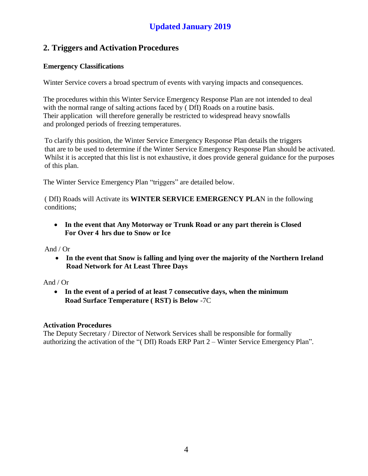## **2. Triggers and Activation Procedures**

#### **Emergency Classifications**

Winter Service covers a broad spectrum of events with varying impacts and consequences.

The procedures within this Winter Service Emergency Response Plan are not intended to deal with the normal range of salting actions faced by (DfI) Roads on a routine basis. Their application will therefore generally be restricted to widespread heavy snowfalls and prolonged periods of freezing temperatures.

To clarify this position, the Winter Service Emergency Response Plan details the triggers that are to be used to determine if the Winter Service Emergency Response Plan should be activated. Whilst it is accepted that this list is not exhaustive, it does provide general guidance for the purposes of this plan.

The Winter Service Emergency Plan "triggers" are detailed below.

( DfI) Roads will Activate its **WINTER SERVICE EMERGENCY PLA**N in the following conditions;

 **In the event that Any Motorway or Trunk Road or any part therein is Closed For Over 4 hrs due to Snow or Ice**

And / Or

 **In the event that Snow is falling and lying over the majority of the Northern Ireland Road Network for At Least Three Days**

#### And / Or

 **In the event of a period of at least 7 consecutive days, when the minimum Road Surface Temperature ( RST) is Below** -7C

#### **Activation Procedures**

The Deputy Secretary / Director of Network Services shall be responsible for formally authorizing the activation of the "( DfI) Roads ERP Part 2 – Winter Service Emergency Plan".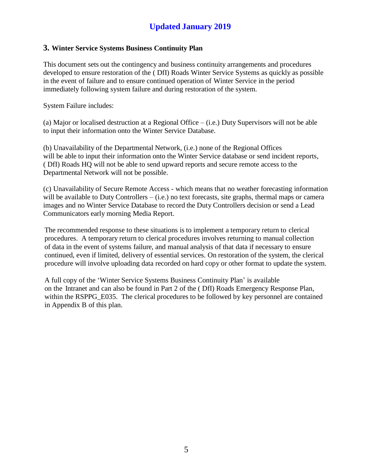#### **3. Winter Service Systems Business Continuity Plan**

This document sets out the contingency and business continuity arrangements and procedures developed to ensure restoration of the ( DfI) Roads Winter Service Systems as quickly as possible in the event of failure and to ensure continued operation of Winter Service in the period immediately following system failure and during restoration of the system.

System Failure includes:

(a) Major or localised destruction at a Regional Office – (i.e.) Duty Supervisors will not be able to input their information onto the Winter Service Database.

(b) Unavailability of the Departmental Network, (i.e.) none of the Regional Offices will be able to input their information onto the Winter Service database or send incident reports, ( DfI) Roads HQ will not be able to send upward reports and secure remote access to the Departmental Network will not be possible.

(c) Unavailability of Secure Remote Access - which means that no weather forecasting information will be available to Duty Controllers – (i.e.) no text forecasts, site graphs, thermal maps or camera images and no Winter Service Database to record the Duty Controllers decision or send a Lead Communicators early morning Media Report.

The recommended response to these situations is to implement a temporary return to clerical procedures. A temporary return to clerical procedures involves returning to manual collection of data in the event of systems failure, and manual analysis of that data if necessary to ensure continued, even if limited, delivery of essential services. On restoration of the system, the clerical procedure will involve uploading data recorded on hard copy or other format to update the system.

A full copy of the 'Winter Service Systems Business Continuity Plan' is available on the Intranet and can also be found in Part 2 of the ( DfI) Roads Emergency Response Plan, within the RSPPG\_E035. The clerical procedures to be followed by key personnel are contained in Appendix B of this plan.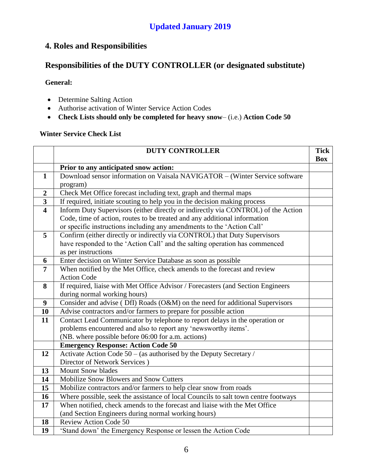## **4. Roles and Responsibilities**

## **Responsibilities of the DUTY CONTROLLER (or designated substitute)**

#### **General:**

- Determine Salting Action
- Authorise activation of Winter Service Action Codes
- **Check Lists should only be completed for heavy snow** (i.e.) **Action Code 50**

|                         | <b>DUTY CONTROLLER</b>                                                             | <b>Tick</b> |
|-------------------------|------------------------------------------------------------------------------------|-------------|
|                         |                                                                                    | <b>Box</b>  |
|                         | Prior to any anticipated snow action:                                              |             |
| $\mathbf{1}$            | Download sensor information on Vaisala NAVIGATOR - (Winter Service software        |             |
|                         | program)                                                                           |             |
| $\boldsymbol{2}$        | Check Met Office forecast including text, graph and thermal maps                   |             |
| $\mathbf{3}$            | If required, initiate scouting to help you in the decision making process          |             |
| $\overline{\mathbf{4}}$ | Inform Duty Supervisors (either directly or indirectly via CONTROL) of the Action  |             |
|                         | Code, time of action, routes to be treated and any additional information          |             |
|                         | or specific instructions including any amendments to the 'Action Call'             |             |
| 5                       | Confirm (either directly or indirectly via CONTROL) that Duty Supervisors          |             |
|                         | have responded to the 'Action Call' and the salting operation has commenced        |             |
|                         | as per instructions                                                                |             |
| 6                       | Enter decision on Winter Service Database as soon as possible                      |             |
| $\overline{7}$          | When notified by the Met Office, check amends to the forecast and review           |             |
|                         | <b>Action Code</b>                                                                 |             |
| 8                       | If required, liaise with Met Office Advisor / Forecasters (and Section Engineers   |             |
|                         | during normal working hours)                                                       |             |
| 9                       | Consider and advise (DfI) Roads (O&M) on the need for additional Supervisors       |             |
| 10                      | Advise contractors and/or farmers to prepare for possible action                   |             |
| 11                      | Contact Lead Communicator by telephone to report delays in the operation or        |             |
|                         | problems encountered and also to report any 'newsworthy items'.                    |             |
|                         | (NB. where possible before 06:00 for a.m. actions)                                 |             |
|                         | <b>Emergency Response: Action Code 50</b>                                          |             |
| 12                      | Activate Action Code 50 – (as authorised by the Deputy Secretary /                 |             |
|                         | Director of Network Services)                                                      |             |
| 13                      | <b>Mount Snow blades</b>                                                           |             |
| 14                      | Mobilize Snow Blowers and Snow Cutters                                             |             |
| 15                      | Mobilize contractors and/or farmers to help clear snow from roads                  |             |
| 16                      | Where possible, seek the assistance of local Councils to salt town centre footways |             |
| 17                      | When notified, check amends to the forecast and liaise with the Met Office         |             |
|                         | (and Section Engineers during normal working hours)                                |             |
| 18                      | <b>Review Action Code 50</b>                                                       |             |
| 19                      | 'Stand down' the Emergency Response or lessen the Action Code                      |             |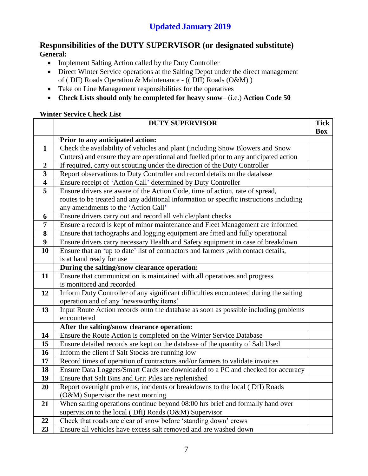#### **Responsibilities of the DUTY SUPERVISOR (or designated substitute) General:**

- Implement Salting Action called by the Duty Controller
- Direct Winter Service operations at the Salting Depot under the direct management of ( DfI) Roads Operation & Maintenance - (( DfI) Roads (O&M) )
- Take on Line Management responsibilities for the operatives
- **Check Lists should only be completed for heavy snow** (i.e.) **Action Code 50**

|                         | <b>DUTY SUPERVISOR</b>                                                                 | <b>Tick</b><br><b>Box</b> |
|-------------------------|----------------------------------------------------------------------------------------|---------------------------|
|                         | Prior to any anticipated action:                                                       |                           |
| $\mathbf{1}$            | Check the availability of vehicles and plant (including Snow Blowers and Snow          |                           |
|                         | Cutters) and ensure they are operational and fuelled prior to any anticipated action   |                           |
| $\boldsymbol{2}$        | If required, carry out scouting under the direction of the Duty Controller             |                           |
| $\overline{3}$          | Report observations to Duty Controller and record details on the database              |                           |
| $\overline{\mathbf{4}}$ | Ensure receipt of 'Action Call' determined by Duty Controller                          |                           |
| 5                       | Ensure drivers are aware of the Action Code, time of action, rate of spread,           |                           |
|                         | routes to be treated and any additional information or specific instructions including |                           |
|                         | any amendments to the 'Action Call'                                                    |                           |
| 6                       | Ensure drivers carry out and record all vehicle/plant checks                           |                           |
| $\overline{7}$          | Ensure a record is kept of minor maintenance and Fleet Management are informed         |                           |
| 8                       | Ensure that tachographs and logging equipment are fitted and fully operational         |                           |
| $\boldsymbol{9}$        | Ensure drivers carry necessary Health and Safety equipment in case of breakdown        |                           |
| 10                      | Ensure that an 'up to date' list of contractors and farmers , with contact details,    |                           |
|                         | is at hand ready for use                                                               |                           |
|                         | During the salting/snow clearance operation:                                           |                           |
| 11                      | Ensure that communication is maintained with all operatives and progress               |                           |
|                         | is monitored and recorded                                                              |                           |
| 12                      | Inform Duty Controller of any significant difficulties encountered during the salting  |                           |
|                         | operation and of any 'newsworthy items'                                                |                           |
| 13                      | Input Route Action records onto the database as soon as possible including problems    |                           |
|                         | encountered                                                                            |                           |
|                         | After the salting/snow clearance operation:                                            |                           |
| 14                      | Ensure the Route Action is completed on the Winter Service Database                    |                           |
| 15                      | Ensure detailed records are kept on the database of the quantity of Salt Used          |                           |
| 16                      | Inform the client if Salt Stocks are running low                                       |                           |
| 17                      | Record times of operation of contractors and/or farmers to validate invoices           |                           |
| 18                      | Ensure Data Loggers/Smart Cards are downloaded to a PC and checked for accuracy        |                           |
| 19                      | Ensure that Salt Bins and Grit Piles are replenished                                   |                           |
| 20                      | Report overnight problems, incidents or breakdowns to the local (DfI) Roads            |                           |
|                         | (O&M) Supervisor the next morning                                                      |                           |
| 21                      | When salting operations continue beyond 08:00 hrs brief and formally hand over         |                           |
|                         | supervision to the local (DfI) Roads (O&M) Supervisor                                  |                           |
| 22                      | Check that roads are clear of snow before 'standing down' crews                        |                           |
| 23                      | Ensure all vehicles have excess salt removed and are washed down                       |                           |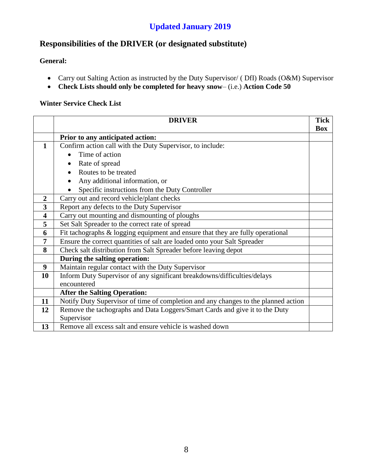## **Responsibilities of the DRIVER (or designated substitute)**

#### **General:**

- Carry out Salting Action as instructed by the Duty Supervisor/ (DfI) Roads (O&M) Supervisor
- **Check Lists should only be completed for heavy snow** (i.e.) **Action Code 50**

|                         | <b>DRIVER</b>                                                                      | <b>Tick</b> |
|-------------------------|------------------------------------------------------------------------------------|-------------|
|                         |                                                                                    | <b>Box</b>  |
|                         | Prior to any anticipated action:                                                   |             |
| $\mathbf{1}$            | Confirm action call with the Duty Supervisor, to include:                          |             |
|                         | Time of action                                                                     |             |
|                         | Rate of spread<br>$\bullet$                                                        |             |
|                         | Routes to be treated                                                               |             |
|                         | Any additional information, or                                                     |             |
|                         | Specific instructions from the Duty Controller                                     |             |
| $\overline{2}$          | Carry out and record vehicle/plant checks                                          |             |
| $\overline{\mathbf{3}}$ | Report any defects to the Duty Supervisor                                          |             |
| $\overline{\mathbf{4}}$ | Carry out mounting and dismounting of ploughs                                      |             |
| 5                       | Set Salt Spreader to the correct rate of spread                                    |             |
| 6                       | Fit tachographs $\&$ logging equipment and ensure that they are fully operational  |             |
| 7                       | Ensure the correct quantities of salt are loaded onto your Salt Spreader           |             |
| 8                       | Check salt distribution from Salt Spreader before leaving depot                    |             |
|                         | During the salting operation:                                                      |             |
| 9                       | Maintain regular contact with the Duty Supervisor                                  |             |
| 10                      | Inform Duty Supervisor of any significant breakdowns/difficulties/delays           |             |
|                         | encountered                                                                        |             |
|                         | <b>After the Salting Operation:</b>                                                |             |
| 11                      | Notify Duty Supervisor of time of completion and any changes to the planned action |             |
| 12                      | Remove the tachographs and Data Loggers/Smart Cards and give it to the Duty        |             |
|                         | Supervisor                                                                         |             |
| 13                      | Remove all excess salt and ensure vehicle is washed down                           |             |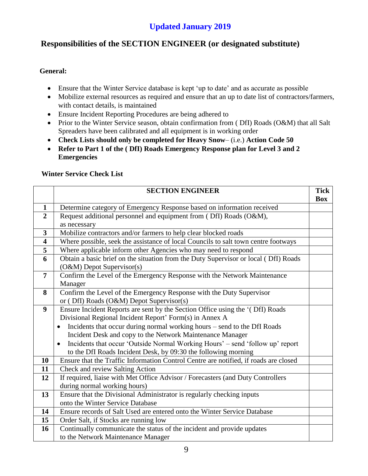## **Responsibilities of the SECTION ENGINEER (or designated substitute)**

#### **General:**

- Ensure that the Winter Service database is kept 'up to date' and as accurate as possible
- Mobilize external resources as required and ensure that an up to date list of contractors/farmers, with contact details, is maintained
- Ensure Incident Reporting Procedures are being adhered to
- Prior to the Winter Service season, obtain confirmation from (DfI) Roads (O&M) that all Salt Spreaders have been calibrated and all equipment is in working order
- **Check Lists should only be completed for Heavy Snow** (i.e.) **Action Code 50**
- **Refer to Part 1 of the ( DfI) Roads Emergency Response plan for Level 3 and 2 Emergencies**

|                         | <b>SECTION ENGINEER</b>                                                                    | <b>Tick</b> |
|-------------------------|--------------------------------------------------------------------------------------------|-------------|
|                         |                                                                                            | <b>Box</b>  |
| $\mathbf{1}$            | Determine category of Emergency Response based on information received                     |             |
| $\overline{2}$          | Request additional personnel and equipment from (DfI) Roads (O&M),                         |             |
|                         | as necessary                                                                               |             |
| 3                       | Mobilize contractors and/or farmers to help clear blocked roads                            |             |
| $\overline{\mathbf{4}}$ | Where possible, seek the assistance of local Councils to salt town centre footways         |             |
| 5                       | Where applicable inform other Agencies who may need to respond                             |             |
| 6                       | Obtain a basic brief on the situation from the Duty Supervisor or local (DfI) Roads        |             |
|                         | (O&M) Depot Supervisor(s)                                                                  |             |
| $\overline{7}$          | Confirm the Level of the Emergency Response with the Network Maintenance                   |             |
|                         | Manager                                                                                    |             |
| 8                       | Confirm the Level of the Emergency Response with the Duty Supervisor                       |             |
|                         | or (DfI) Roads (O&M) Depot Supervisor(s)                                                   |             |
| $\boldsymbol{9}$        | Ensure Incident Reports are sent by the Section Office using the '(DfI) Roads              |             |
|                         | Divisional Regional Incident Report' Form(s) in Annex A                                    |             |
|                         | Incidents that occur during normal working hours - send to the DfI Roads<br>$\bullet$      |             |
|                         | Incident Desk and copy to the Network Maintenance Manager                                  |             |
|                         | Incidents that occur 'Outside Normal Working Hours' - send 'follow up' report<br>$\bullet$ |             |
|                         | to the DfI Roads Incident Desk, by 09:30 the following morning                             |             |
| 10                      | Ensure that the Traffic Information Control Centre are notified, if roads are closed       |             |
| 11                      | Check and review Salting Action                                                            |             |
| 12                      | If required, liaise with Met Office Advisor / Forecasters (and Duty Controllers            |             |
|                         | during normal working hours)                                                               |             |
| 13                      | Ensure that the Divisional Administrator is regularly checking inputs                      |             |
|                         | onto the Winter Service Database                                                           |             |
| 14                      | Ensure records of Salt Used are entered onto the Winter Service Database                   |             |
| 15                      | Order Salt, if Stocks are running low                                                      |             |
| 16                      | Continually communicate the status of the incident and provide updates                     |             |
|                         | to the Network Maintenance Manager                                                         |             |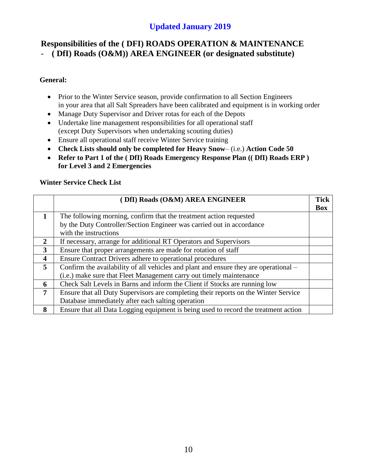### **Responsibilities of the ( DFI) ROADS OPERATION & MAINTENANCE**  - **( DfI) Roads (O&M)) AREA ENGINEER (or designated substitute)**

#### **General:**

- Prior to the Winter Service season, provide confirmation to all Section Engineers in your area that all Salt Spreaders have been calibrated and equipment is in working order
- Manage Duty Supervisor and Driver rotas for each of the Depots
- Undertake line management responsibilities for all operational staff (except Duty Supervisors when undertaking scouting duties)
- Ensure all operational staff receive Winter Service training
- **Check Lists should only be completed for Heavy Snow** (i.e.) **Action Code 50**
- **Refer to Part 1 of the ( DfI) Roads Emergency Response Plan (( DfI) Roads ERP ) for Level 3 and 2 Emergencies**

|                         | (DfI) Roads (O&M) AREA ENGINEER                                                      | <b>Tick</b><br><b>Box</b> |
|-------------------------|--------------------------------------------------------------------------------------|---------------------------|
|                         | The following morning, confirm that the treatment action requested                   |                           |
|                         | by the Duty Controller/Section Engineer was carried out in accordance                |                           |
|                         | with the instructions                                                                |                           |
| $\mathbf{2}$            | If necessary, arrange for additional RT Operators and Supervisors                    |                           |
| 3                       | Ensure that proper arrangements are made for rotation of staff                       |                           |
| $\overline{\mathbf{4}}$ | Ensure Contract Drivers adhere to operational procedures                             |                           |
| 5                       | Confirm the availability of all vehicles and plant and ensure they are operational - |                           |
|                         | (i.e.) make sure that Fleet Management carry out timely maintenance                  |                           |
| 6                       | Check Salt Levels in Barns and inform the Client if Stocks are running low           |                           |
| $\overline{7}$          | Ensure that all Duty Supervisors are completing their reports on the Winter Service  |                           |
|                         | Database immediately after each salting operation                                    |                           |
| 8                       | Ensure that all Data Logging equipment is being used to record the treatment action  |                           |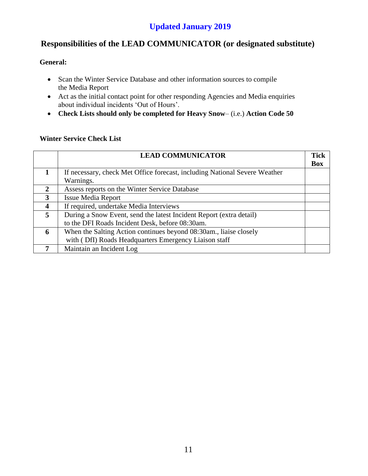## **Responsibilities of the LEAD COMMUNICATOR (or designated substitute)**

#### **General:**

- Scan the Winter Service Database and other information sources to compile the Media Report
- Act as the initial contact point for other responding Agencies and Media enquiries about individual incidents 'Out of Hours'.
- **Check Lists should only be completed for Heavy Snow** (i.e.) **Action Code 50**

|   | <b>LEAD COMMUNICATOR</b>                                                   | <b>Tick</b> |
|---|----------------------------------------------------------------------------|-------------|
|   |                                                                            | <b>Box</b>  |
|   | If necessary, check Met Office forecast, including National Severe Weather |             |
|   | Warnings.                                                                  |             |
| 2 | Assess reports on the Winter Service Database                              |             |
| 3 | <b>Issue Media Report</b>                                                  |             |
| 4 | If required, undertake Media Interviews                                    |             |
| 5 | During a Snow Event, send the latest Incident Report (extra detail)        |             |
|   | to the DFI Roads Incident Desk, before 08:30am.                            |             |
| 6 | When the Salting Action continues beyond 08:30am., liaise closely          |             |
|   | with (DfI) Roads Headquarters Emergency Liaison staff                      |             |
|   | Maintain an Incident Log                                                   |             |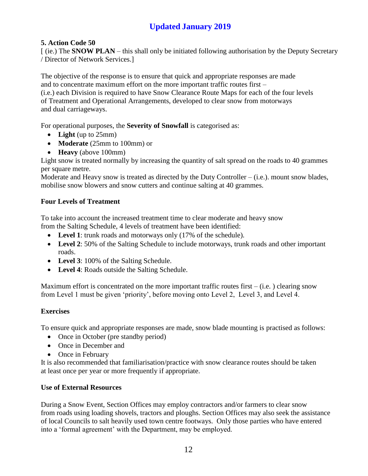#### **5. Action Code 50**

[ (ie.) The **SNOW PLAN** – this shall only be initiated following authorisation by the Deputy Secretary / Director of Network Services.]

The objective of the response is to ensure that quick and appropriate responses are made and to concentrate maximum effort on the more important traffic routes first –

(i.e.) each Division is required to have Snow Clearance Route Maps for each of the four levels of Treatment and Operational Arrangements, developed to clear snow from motorways and dual carriageways.

For operational purposes, the **Severity of Snowfall** is categorised as:

- **Light** (up to 25mm)
- **Moderate** (25mm to 100mm) or
- **Heavy** (above 100mm)

Light snow is treated normally by increasing the quantity of salt spread on the roads to 40 grammes per square metre.

Moderate and Heavy snow is treated as directed by the Duty Controller  $-$  (i.e.). mount snow blades, mobilise snow blowers and snow cutters and continue salting at 40 grammes.

#### **Four Levels of Treatment**

To take into account the increased treatment time to clear moderate and heavy snow from the Salting Schedule, 4 levels of treatment have been identified:

- Level 1: trunk roads and motorways only (17% of the schedule).
- Level 2: 50% of the Salting Schedule to include motorways, trunk roads and other important roads.
- Level 3: 100% of the Salting Schedule.
- **Level 4**: Roads outside the Salting Schedule.

Maximum effort is concentrated on the more important traffic routes first  $-$  (i.e.) clearing snow from Level 1 must be given 'priority', before moving onto Level 2, Level 3, and Level 4.

#### **Exercises**

To ensure quick and appropriate responses are made, snow blade mounting is practised as follows:

- Once in October (pre standby period)
- Once in December and
- Once in February

It is also recommended that familiarisation/practice with snow clearance routes should be taken at least once per year or more frequently if appropriate.

#### **Use of External Resources**

During a Snow Event, Section Offices may employ contractors and/or farmers to clear snow from roads using loading shovels, tractors and ploughs. Section Offices may also seek the assistance of local Councils to salt heavily used town centre footways. Only those parties who have entered into a 'formal agreement' with the Department, may be employed.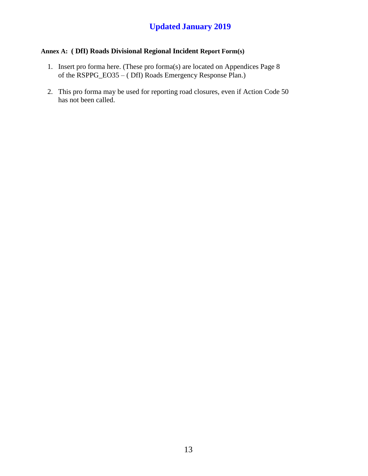#### **Annex A: ( DfI) Roads Divisional Regional Incident Report Form(s)**

- 1. Insert pro forma here. (These pro forma(s) are located on Appendices Page 8 of the RSPPG\_EO35 – ( DfI) Roads Emergency Response Plan.)
- 2. This pro forma may be used for reporting road closures, even if Action Code 50 has not been called.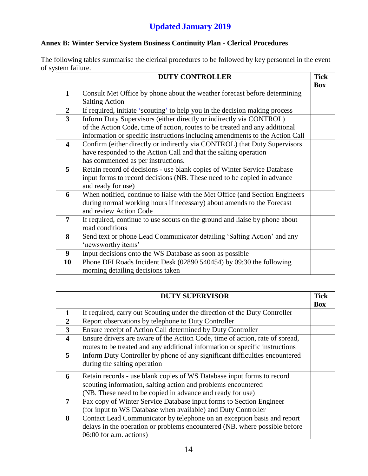#### **Annex B: Winter Service System Business Continuity Plan - Clerical Procedures**

The following tables summarise the clerical procedures to be followed by key personnel in the event of system failure.

|                         | <b>DUTY CONTROLLER</b>                                                       | <b>Tick</b> |
|-------------------------|------------------------------------------------------------------------------|-------------|
|                         |                                                                              | Box         |
| $\mathbf{1}$            | Consult Met Office by phone about the weather forecast before determining    |             |
|                         | <b>Salting Action</b>                                                        |             |
| $\boldsymbol{2}$        | If required, initiate 'scouting' to help you in the decision making process  |             |
| $\overline{\mathbf{3}}$ | Inform Duty Supervisors (either directly or indirectly via CONTROL)          |             |
|                         | of the Action Code, time of action, routes to be treated and any additional  |             |
|                         | information or specific instructions including amendments to the Action Call |             |
| $\overline{\mathbf{4}}$ | Confirm (either directly or indirectly via CONTROL) that Duty Supervisors    |             |
|                         | have responded to the Action Call and that the salting operation             |             |
|                         | has commenced as per instructions.                                           |             |
| 5                       | Retain record of decisions - use blank copies of Winter Service Database     |             |
|                         | input forms to record decisions (NB. These need to be copied in advance      |             |
|                         | and ready for use)                                                           |             |
| 6                       | When notified, continue to liaise with the Met Office (and Section Engineers |             |
|                         | during normal working hours if necessary) about amends to the Forecast       |             |
|                         | and review Action Code                                                       |             |
| 7                       | If required, continue to use scouts on the ground and liaise by phone about  |             |
|                         | road conditions                                                              |             |
| 8                       | Send text or phone Lead Communicator detailing 'Salting Action' and any      |             |
|                         | 'newsworthy items'                                                           |             |
| $\boldsymbol{9}$        | Input decisions onto the WS Database as soon as possible                     |             |
| 10                      | Phone DFI Roads Incident Desk (02890 540454) by 09:30 the following          |             |
|                         | morning detailing decisions taken                                            |             |

|                         | <b>DUTY SUPERVISOR</b>                                                       | <b>Tick</b> |
|-------------------------|------------------------------------------------------------------------------|-------------|
|                         |                                                                              | <b>Box</b>  |
| 1                       | If required, carry out Scouting under the direction of the Duty Controller   |             |
| $\overline{2}$          | Report observations by telephone to Duty Controller                          |             |
| 3                       | Ensure receipt of Action Call determined by Duty Controller                  |             |
| $\overline{\mathbf{4}}$ | Ensure drivers are aware of the Action Code, time of action, rate of spread, |             |
|                         | routes to be treated and any additional information or specific instructions |             |
| 5                       | Inform Duty Controller by phone of any significant difficulties encountered  |             |
|                         | during the salting operation                                                 |             |
| 6                       | Retain records - use blank copies of WS Database input forms to record       |             |
|                         | scouting information, salting action and problems encountered                |             |
|                         | (NB. These need to be copied in advance and ready for use)                   |             |
| 7                       | Fax copy of Winter Service Database input forms to Section Engineer          |             |
|                         | (for input to WS Database when available) and Duty Controller                |             |
| 8                       | Contact Lead Communicator by telephone on an exception basis and report      |             |
|                         | delays in the operation or problems encountered (NB, where possible before   |             |
|                         | 06:00 for a.m. actions)                                                      |             |